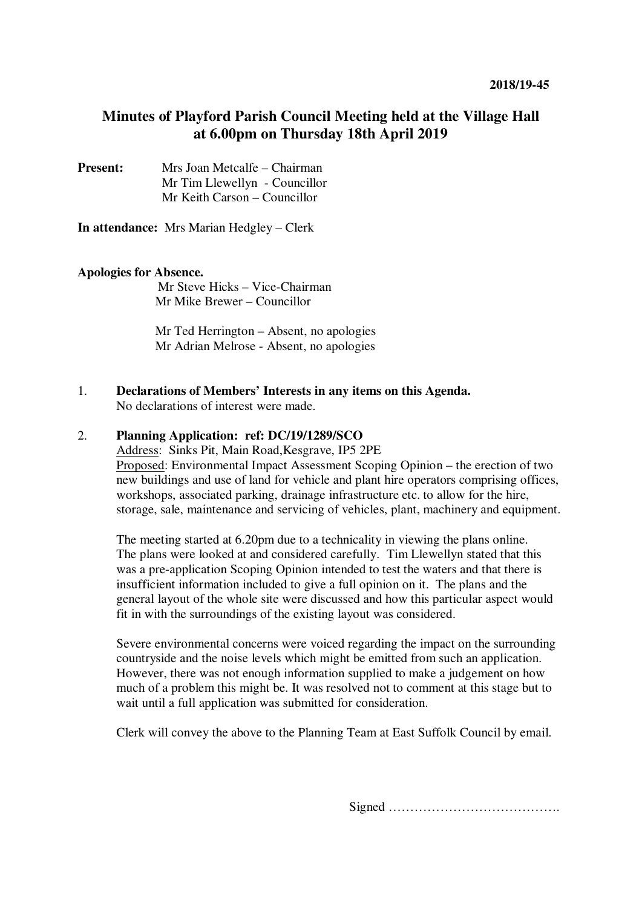## **Minutes of Playford Parish Council Meeting held at the Village Hall at 6.00pm on Thursday 18th April 2019**

**Present:** Mrs Joan Metcalfe – Chairman Mr Tim Llewellyn - Councillor Mr Keith Carson – Councillor

**In attendance:** Mrs Marian Hedgley – Clerk

## **Apologies for Absence.**

Mr Steve Hicks – Vice-Chairman Mr Mike Brewer – Councillor

Mr Ted Herrington – Absent, no apologies Mr Adrian Melrose - Absent, no apologies

1. **Declarations of Members' Interests in any items on this Agenda.**  No declarations of interest were made.

## 2. **Planning Application: ref: DC/19/1289/SCO**

Address: Sinks Pit, Main Road,Kesgrave, IP5 2PE

Proposed: Environmental Impact Assessment Scoping Opinion – the erection of two new buildings and use of land for vehicle and plant hire operators comprising offices, workshops, associated parking, drainage infrastructure etc. to allow for the hire, storage, sale, maintenance and servicing of vehicles, plant, machinery and equipment.

The meeting started at 6.20pm due to a technicality in viewing the plans online. The plans were looked at and considered carefully. Tim Llewellyn stated that this was a pre-application Scoping Opinion intended to test the waters and that there is insufficient information included to give a full opinion on it. The plans and the general layout of the whole site were discussed and how this particular aspect would fit in with the surroundings of the existing layout was considered.

Severe environmental concerns were voiced regarding the impact on the surrounding countryside and the noise levels which might be emitted from such an application. However, there was not enough information supplied to make a judgement on how much of a problem this might be. It was resolved not to comment at this stage but to wait until a full application was submitted for consideration.

Clerk will convey the above to the Planning Team at East Suffolk Council by email.

Signed ………………………………….